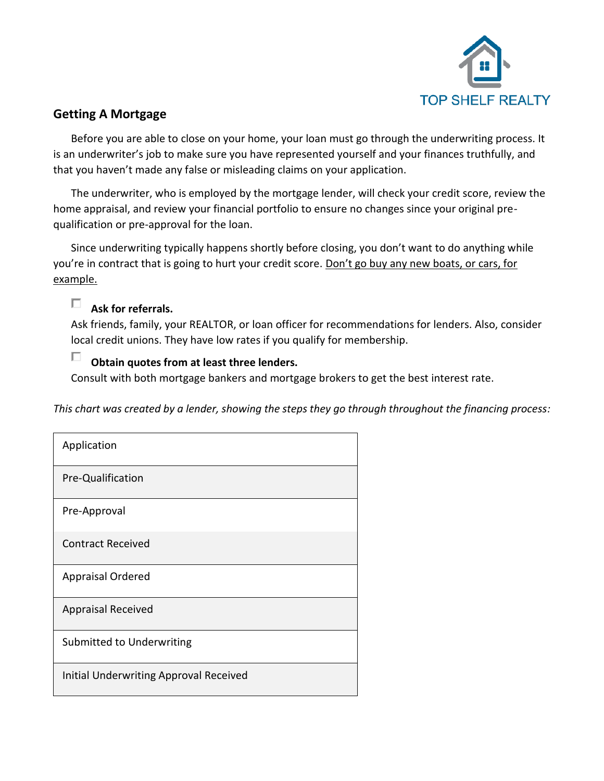

## **Getting A Mortgage**

Before you are able to close on your home, your loan must go through the underwriting process. It is an underwriter's job to make sure you have represented yourself and your finances truthfully, and that you haven't made any false or misleading claims on your application.

The underwriter, who is employed by the mortgage lender, will check your credit score, review the home appraisal, and review your financial portfolio to ensure no changes since your original prequalification or pre-approval for the loan.

Since underwriting typically happens shortly before closing, you don't want to do anything while you're in contract that is going to hurt your credit score. Don't go buy any new boats, or cars, for example.

# **Ask for referrals.**

Ask friends, family, your REALTOR, or loan officer for recommendations for lenders. Also, consider local credit unions. They have low rates if you qualify for membership.

#### П **Obtain quotes from at least three lenders.**

Consult with both mortgage bankers and mortgage brokers to get the best interest rate.

*This chart was created by a lender, showing the steps they go through throughout the financing process:*

| Application                            |
|----------------------------------------|
| Pre-Qualification                      |
| Pre-Approval                           |
| <b>Contract Received</b>               |
| <b>Appraisal Ordered</b>               |
| <b>Appraisal Received</b>              |
| Submitted to Underwriting              |
| Initial Underwriting Approval Received |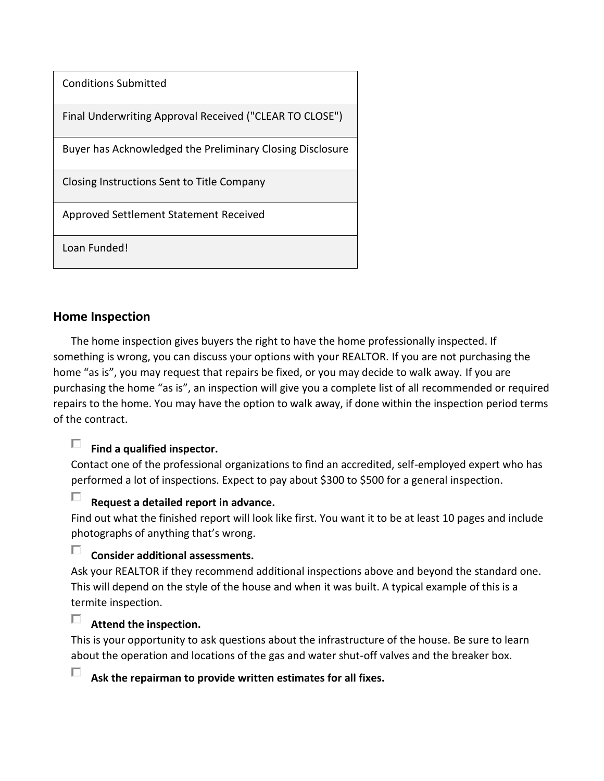| <b>Conditions Submitted</b>                               |
|-----------------------------------------------------------|
| Final Underwriting Approval Received ("CLEAR TO CLOSE")   |
| Buyer has Acknowledged the Preliminary Closing Disclosure |
| Closing Instructions Sent to Title Company                |
| Approved Settlement Statement Received                    |
| Loan Funded!                                              |

### **Home Inspection**

The home inspection gives buyers the right to have the home professionally inspected. If something is wrong, you can discuss your options with your REALTOR. If you are not purchasing the home "as is", you may request that repairs be fixed, or you may decide to walk away. If you are purchasing the home "as is", an inspection will give you a complete list of all recommended or required repairs to the home. You may have the option to walk away, if done within the inspection period terms of the contract.

#### П. **Find a qualified inspector.**

Contact one of the professional organizations to find an accredited, self-employed expert who has performed a lot of inspections. Expect to pay about \$300 to \$500 for a general inspection.

#### П. **Request a detailed report in advance.**

Find out what the finished report will look like first. You want it to be at least 10 pages and include photographs of anything that's wrong.

### $\Box$ **Consider additional assessments.**

Ask your REALTOR if they recommend additional inspections above and beyond the standard one. This will depend on the style of the house and when it was built. A typical example of this is a termite inspection.

### П **Attend the inspection.**

This is your opportunity to ask questions about the infrastructure of the house. Be sure to learn about the operation and locations of the gas and water shut-off valves and the breaker box.

П **Ask the repairman to provide written estimates for all fixes.**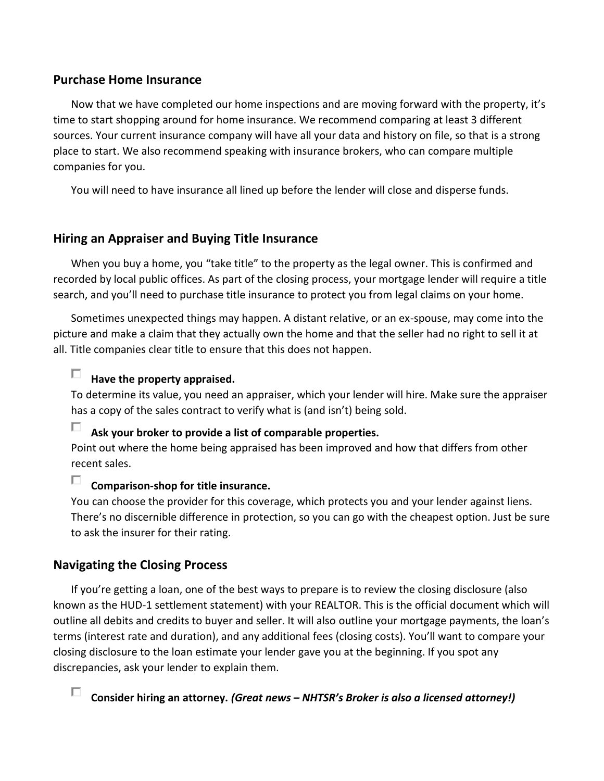### **Purchase Home Insurance**

Now that we have completed our home inspections and are moving forward with the property, it's time to start shopping around for home insurance. We recommend comparing at least 3 different sources. Your current insurance company will have all your data and history on file, so that is a strong place to start. We also recommend speaking with insurance brokers, who can compare multiple companies for you.

You will need to have insurance all lined up before the lender will close and disperse funds.

### **Hiring an Appraiser and Buying Title Insurance**

When you buy a home, you "take title" to the property as the legal owner. This is confirmed and recorded by local public offices. As part of the closing process, your mortgage lender will require a title search, and you'll need to purchase title insurance to protect you from legal claims on your home.

Sometimes unexpected things may happen. A distant relative, or an ex-spouse, may come into the picture and make a claim that they actually own the home and that the seller had no right to sell it at all. Title companies clear title to ensure that this does not happen.

#### П. **Have the property appraised.**

To determine its value, you need an appraiser, which your lender will hire. Make sure the appraiser has a copy of the sales contract to verify what is (and isn't) being sold.

П **Ask your broker to provide a list of comparable properties.**

Point out where the home being appraised has been improved and how that differs from other recent sales.

#### D. **Comparison-shop for title insurance.**

You can choose the provider for this coverage, which protects you and your lender against liens. There's no discernible difference in protection, so you can go with the cheapest option. Just be sure to ask the insurer for their rating.

### **Navigating the Closing Process**

If you're getting a loan, one of the best ways to prepare is to review the closing disclosure (also known as the HUD-1 settlement statement) with your REALTOR. This is the official document which will outline all debits and credits to buyer and seller. It will also outline your mortgage payments, the loan's terms (interest rate and duration), and any additional fees (closing costs). You'll want to compare your closing disclosure to the loan estimate your lender gave you at the beginning. If you spot any discrepancies, ask your lender to explain them.

П **Consider hiring an attorney.** *(Great news – NHTSR's Broker is also a licensed attorney!)*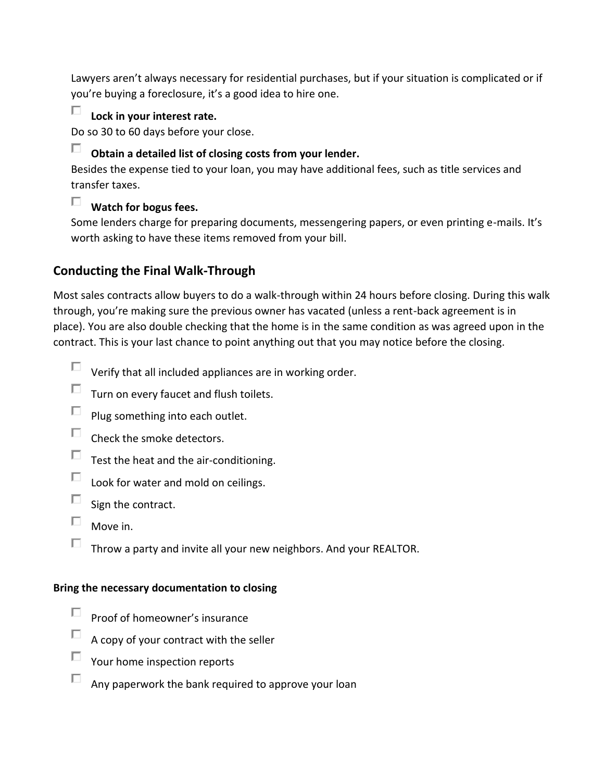Lawyers aren't always necessary for residential purchases, but if your situation is complicated or if you're buying a foreclosure, it's a good idea to hire one.

## **Lock in your interest rate.**

Do so 30 to 60 days before your close.

# **Obtain a detailed list of closing costs from your lender.**

Besides the expense tied to your loan, you may have additional fees, such as title services and transfer taxes.

# **Watch for bogus fees.**

Some lenders charge for preparing documents, messengering papers, or even printing e-mails. It's worth asking to have these items removed from your bill.

## **Conducting the Final Walk-Through**

Most sales contracts allow buyers to do a walk-through within 24 hours before closing. During this walk through, you're making sure the previous owner has vacated (unless a rent-back agreement is in place). You are also double checking that the home is in the same condition as was agreed upon in the contract. This is your last chance to point anything out that you may notice before the closing.

- $\Box$  Verify that all included appliances are in working order.
- $\Box$ Turn on every faucet and flush toilets.
- $\Box$ Plug something into each outlet.
- $\Box$  Check the smoke detectors.
- $\Box$  Test the heat and the air-conditioning.
- $\Box$  Look for water and mold on ceilings.
- $\Box$ Sign the contract.
- $\Box$  Move in.
- $\Box$  Throw a party and invite all your new neighbors. And your REALTOR.

### **Bring the necessary documentation to closing**

- П Proof of homeowner's insurance
- A copy of your contract with the seller
- п. Your home inspection reports
- $\Box$ Any paperwork the bank required to approve your loan